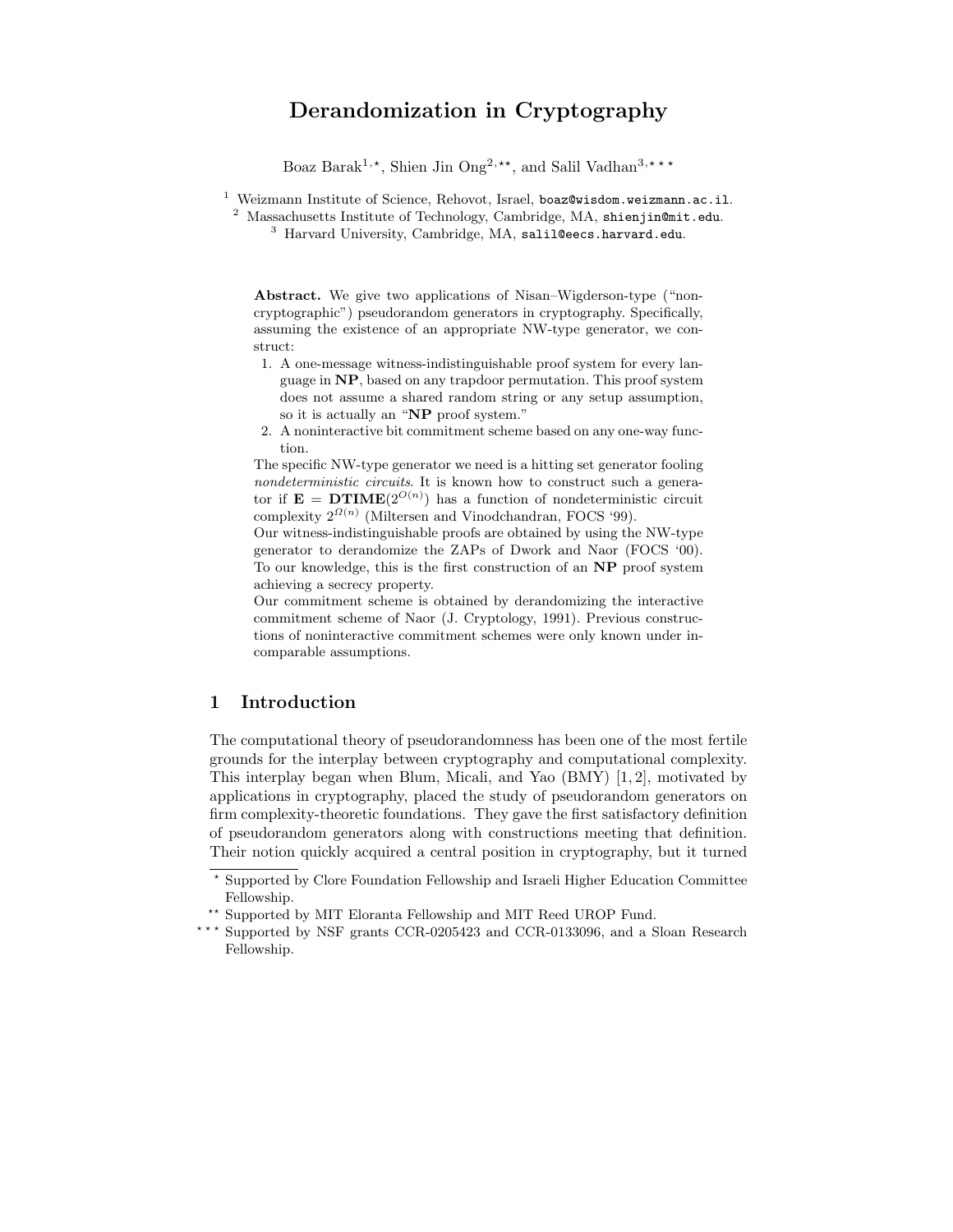# Derandomization in Cryptography

Boaz Barak<sup>1,\*</sup>, Shien Jin Ong<sup>2,\*\*</sup>, and Salil Vadhan<sup>3,\*\*\*</sup>

<sup>1</sup> Weizmann Institute of Science, Rehovot, Israel, boaz@wisdom.weizmann.ac.il.

<sup>2</sup> Massachusetts Institute of Technology, Cambridge, MA, shienjin@mit.edu.

<sup>3</sup> Harvard University, Cambridge, MA, salil@eecs.harvard.edu.

Abstract. We give two applications of Nisan–Wigderson-type ("noncryptographic") pseudorandom generators in cryptography. Specifically, assuming the existence of an appropriate NW-type generator, we construct:

- 1. A one-message witness-indistinguishable proof system for every language in NP, based on any trapdoor permutation. This proof system does not assume a shared random string or any setup assumption, so it is actually an "NP proof system."
- 2. A noninteractive bit commitment scheme based on any one-way function.

The specific NW-type generator we need is a hitting set generator fooling nondeterministic circuits. It is known how to construct such a generator if  $\mathbf{E} = \mathbf{DTIME}(2^{O(n)})$  has a function of nondeterministic circuit complexity  $2^{\Omega(n)}$  (Miltersen and Vinodchandran, FOCS '99).

Our witness-indistinguishable proofs are obtained by using the NW-type generator to derandomize the ZAPs of Dwork and Naor (FOCS '00). To our knowledge, this is the first construction of an NP proof system achieving a secrecy property.

Our commitment scheme is obtained by derandomizing the interactive commitment scheme of Naor (J. Cryptology, 1991). Previous constructions of noninteractive commitment schemes were only known under incomparable assumptions.

# 1 Introduction

The computational theory of pseudorandomness has been one of the most fertile grounds for the interplay between cryptography and computational complexity. This interplay began when Blum, Micali, and Yao (BMY) [1, 2], motivated by applications in cryptography, placed the study of pseudorandom generators on firm complexity-theoretic foundations. They gave the first satisfactory definition of pseudorandom generators along with constructions meeting that definition. Their notion quickly acquired a central position in cryptography, but it turned

<sup>?</sup> Supported by Clore Foundation Fellowship and Israeli Higher Education Committee Fellowship.

<sup>\*\*</sup> Supported by MIT Eloranta Fellowship and MIT Reed UROP Fund.

 $^{\star\;\star\;\star}$  Supported by NSF grants CCR-0205423 and CCR-0133096, and a Sloan Research Fellowship.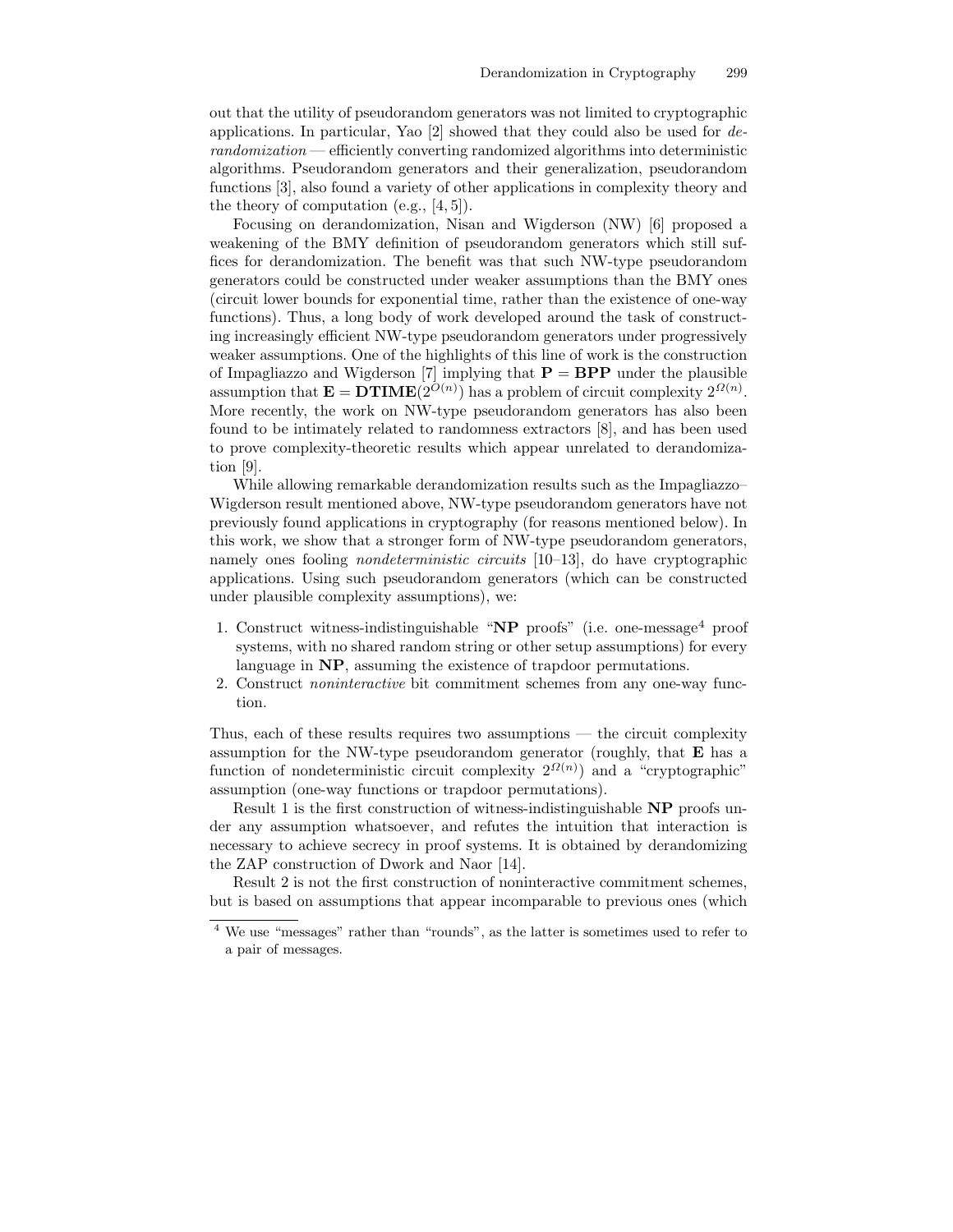out that the utility of pseudorandom generators was not limited to cryptographic applications. In particular, Yao [2] showed that they could also be used for de $randomization$  — efficiently converting randomized algorithms into deterministic algorithms. Pseudorandom generators and their generalization, pseudorandom functions [3], also found a variety of other applications in complexity theory and the theory of computation (e.g., [4, 5]).

Focusing on derandomization, Nisan and Wigderson (NW) [6] proposed a weakening of the BMY definition of pseudorandom generators which still suffices for derandomization. The benefit was that such NW-type pseudorandom generators could be constructed under weaker assumptions than the BMY ones (circuit lower bounds for exponential time, rather than the existence of one-way functions). Thus, a long body of work developed around the task of constructing increasingly efficient NW-type pseudorandom generators under progressively weaker assumptions. One of the highlights of this line of work is the construction of Impagliazzo and Wigderson [7] implying that  $P = BPP$  under the plausible assumption that  $\mathbf{E} = \mathbf{DTIME}(2^{O(n)})$  has a problem of circuit complexity  $2^{O(n)}$ . More recently, the work on NW-type pseudorandom generators has also been found to be intimately related to randomness extractors [8], and has been used to prove complexity-theoretic results which appear unrelated to derandomization [9].

While allowing remarkable derandomization results such as the Impagliazzo– Wigderson result mentioned above, NW-type pseudorandom generators have not previously found applications in cryptography (for reasons mentioned below). In this work, we show that a stronger form of NW-type pseudorandom generators, namely ones fooling nondeterministic circuits [10–13], do have cryptographic applications. Using such pseudorandom generators (which can be constructed under plausible complexity assumptions), we:

- 1. Construct witness-indistinguishable " $NP$  proofs" (i.e. one-message<sup>4</sup> proof systems, with no shared random string or other setup assumptions) for every language in NP, assuming the existence of trapdoor permutations.
- 2. Construct noninteractive bit commitment schemes from any one-way function.

Thus, each of these results requires two assumptions — the circuit complexity assumption for the NW-type pseudorandom generator (roughly, that  $E$  has a function of nondeterministic circuit complexity  $2^{(\Omega(n)})$  and a "cryptographic" assumption (one-way functions or trapdoor permutations).

Result 1 is the first construction of witness-indistinguishable NP proofs under any assumption whatsoever, and refutes the intuition that interaction is necessary to achieve secrecy in proof systems. It is obtained by derandomizing the ZAP construction of Dwork and Naor [14].

Result 2 is not the first construction of noninteractive commitment schemes, but is based on assumptions that appear incomparable to previous ones (which

<sup>4</sup> We use "messages" rather than "rounds", as the latter is sometimes used to refer to a pair of messages.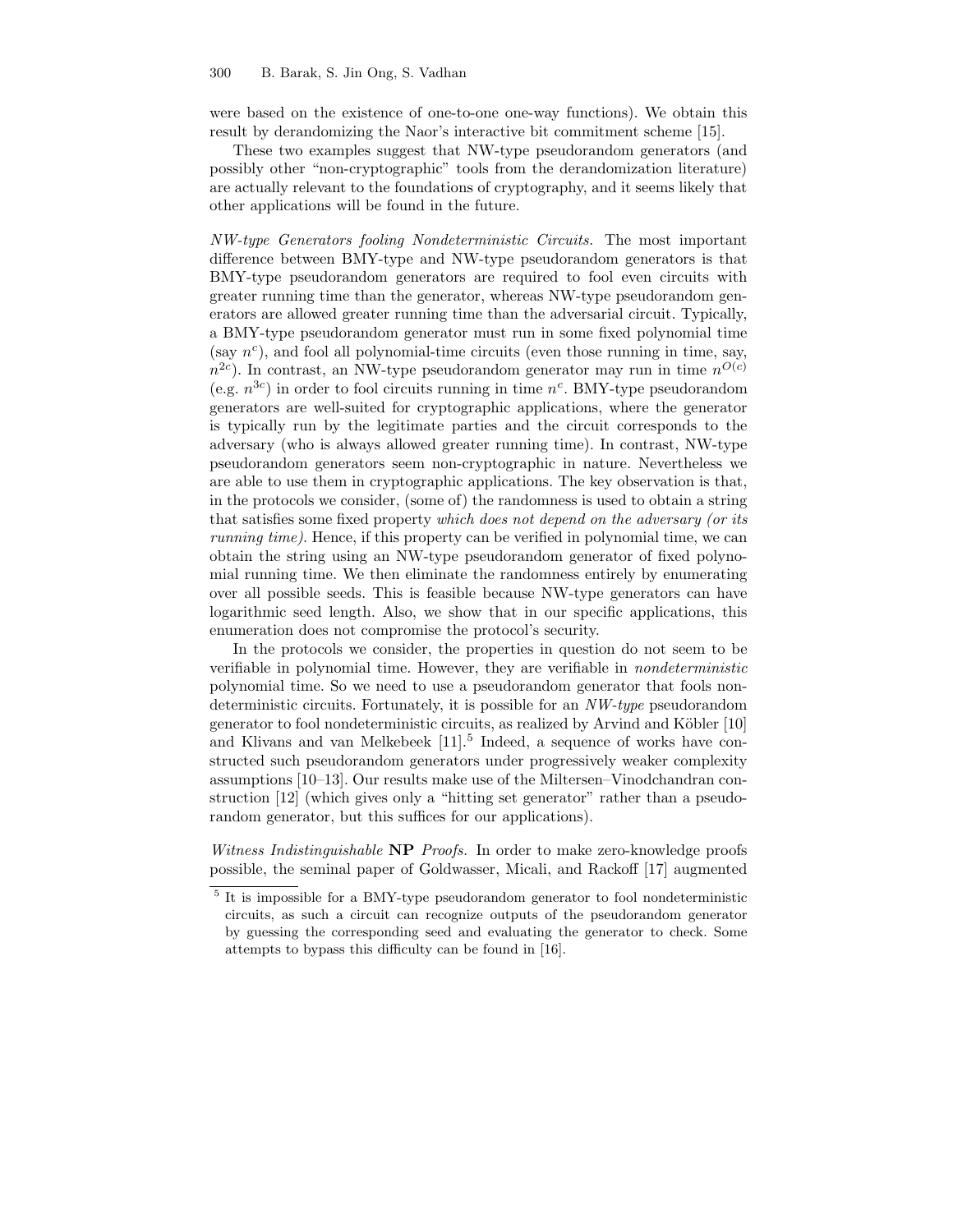were based on the existence of one-to-one one-way functions). We obtain this result by derandomizing the Naor's interactive bit commitment scheme [15].

These two examples suggest that NW-type pseudorandom generators (and possibly other "non-cryptographic" tools from the derandomization literature) are actually relevant to the foundations of cryptography, and it seems likely that other applications will be found in the future.

NW-type Generators fooling Nondeterministic Circuits. The most important difference between BMY-type and NW-type pseudorandom generators is that BMY-type pseudorandom generators are required to fool even circuits with greater running time than the generator, whereas NW-type pseudorandom generators are allowed greater running time than the adversarial circuit. Typically, a BMY-type pseudorandom generator must run in some fixed polynomial time (say  $n^c$ ), and fool all polynomial-time circuits (even those running in time, say,  $n^{2c}$ ). In contrast, an NW-type pseudorandom generator may run in time  $n^{O(c)}$ (e.g.  $n^{3c}$ ) in order to fool circuits running in time  $n^c$ . BMY-type pseudorandom generators are well-suited for cryptographic applications, where the generator is typically run by the legitimate parties and the circuit corresponds to the adversary (who is always allowed greater running time). In contrast, NW-type pseudorandom generators seem non-cryptographic in nature. Nevertheless we are able to use them in cryptographic applications. The key observation is that, in the protocols we consider, (some of) the randomness is used to obtain a string that satisfies some fixed property which does not depend on the adversary (or its running time). Hence, if this property can be verified in polynomial time, we can obtain the string using an NW-type pseudorandom generator of fixed polynomial running time. We then eliminate the randomness entirely by enumerating over all possible seeds. This is feasible because NW-type generators can have logarithmic seed length. Also, we show that in our specific applications, this enumeration does not compromise the protocol's security.

In the protocols we consider, the properties in question do not seem to be verifiable in polynomial time. However, they are verifiable in nondeterministic polynomial time. So we need to use a pseudorandom generator that fools nondeterministic circuits. Fortunately, it is possible for an NW-type pseudorandom generator to fool nondeterministic circuits, as realized by Arvind and Köbler  $[10]$ and Klivans and van Melkebeek [11].<sup>5</sup> Indeed, a sequence of works have constructed such pseudorandom generators under progressively weaker complexity assumptions [10–13]. Our results make use of the Miltersen–Vinodchandran construction [12] (which gives only a "hitting set generator" rather than a pseudorandom generator, but this suffices for our applications).

Witness Indistinguishable  $NP$  Proofs. In order to make zero-knowledge proofs possible, the seminal paper of Goldwasser, Micali, and Rackoff [17] augmented

<sup>&</sup>lt;sup>5</sup> It is impossible for a BMY-type pseudorandom generator to fool nondeterministic circuits, as such a circuit can recognize outputs of the pseudorandom generator by guessing the corresponding seed and evaluating the generator to check. Some attempts to bypass this difficulty can be found in [16].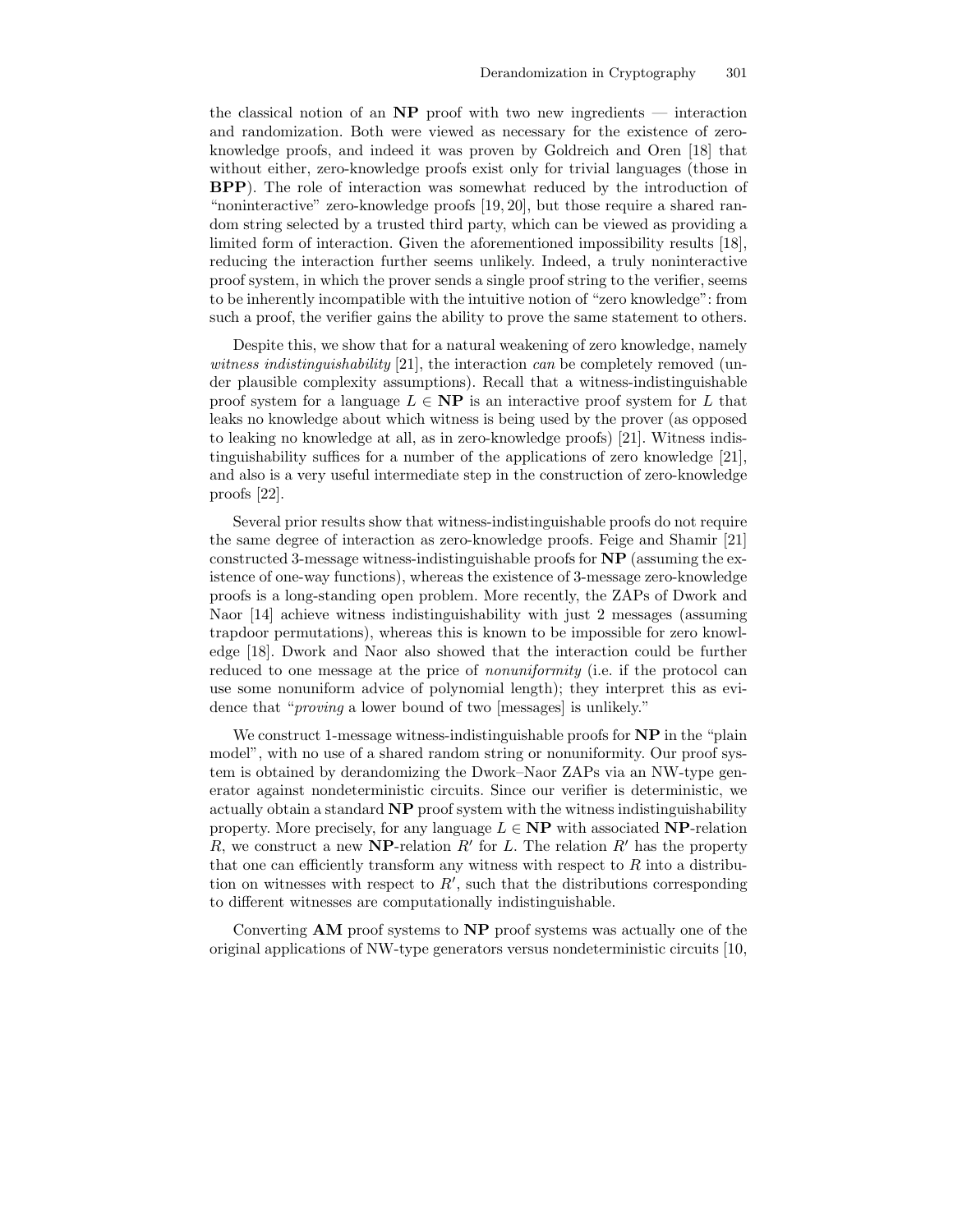the classical notion of an  $\bf NP$  proof with two new ingredients — interaction and randomization. Both were viewed as necessary for the existence of zeroknowledge proofs, and indeed it was proven by Goldreich and Oren [18] that without either, zero-knowledge proofs exist only for trivial languages (those in BPP). The role of interaction was somewhat reduced by the introduction of "noninteractive" zero-knowledge proofs [19, 20], but those require a shared random string selected by a trusted third party, which can be viewed as providing a limited form of interaction. Given the aforementioned impossibility results [18], reducing the interaction further seems unlikely. Indeed, a truly noninteractive proof system, in which the prover sends a single proof string to the verifier, seems to be inherently incompatible with the intuitive notion of "zero knowledge": from such a proof, the verifier gains the ability to prove the same statement to others.

Despite this, we show that for a natural weakening of zero knowledge, namely witness indistinguishability [21], the interaction can be completely removed (under plausible complexity assumptions). Recall that a witness-indistinguishable proof system for a language  $L \in \mathbf{NP}$  is an interactive proof system for L that leaks no knowledge about which witness is being used by the prover (as opposed to leaking no knowledge at all, as in zero-knowledge proofs) [21]. Witness indistinguishability suffices for a number of the applications of zero knowledge [21], and also is a very useful intermediate step in the construction of zero-knowledge proofs [22].

Several prior results show that witness-indistinguishable proofs do not require the same degree of interaction as zero-knowledge proofs. Feige and Shamir [21] constructed 3-message witness-indistinguishable proofs for NP (assuming the existence of one-way functions), whereas the existence of 3-message zero-knowledge proofs is a long-standing open problem. More recently, the ZAPs of Dwork and Naor [14] achieve witness indistinguishability with just 2 messages (assuming trapdoor permutations), whereas this is known to be impossible for zero knowledge [18]. Dwork and Naor also showed that the interaction could be further reduced to one message at the price of nonuniformity (i.e. if the protocol can use some nonuniform advice of polynomial length); they interpret this as evidence that "*proving* a lower bound of two [messages] is unlikely."

We construct 1-message witness-indistinguishable proofs for **NP** in the "plain" model", with no use of a shared random string or nonuniformity. Our proof system is obtained by derandomizing the Dwork–Naor ZAPs via an NW-type generator against nondeterministic circuits. Since our verifier is deterministic, we actually obtain a standard NP proof system with the witness indistinguishability property. More precisely, for any language  $L \in \mathbf{NP}$  with associated **NP**-relation R, we construct a new NP-relation  $R'$  for L. The relation  $R'$  has the property that one can efficiently transform any witness with respect to  $R$  into a distribution on witnesses with respect to  $R'$ , such that the distributions corresponding to different witnesses are computationally indistinguishable.

Converting AM proof systems to NP proof systems was actually one of the original applications of NW-type generators versus nondeterministic circuits [10,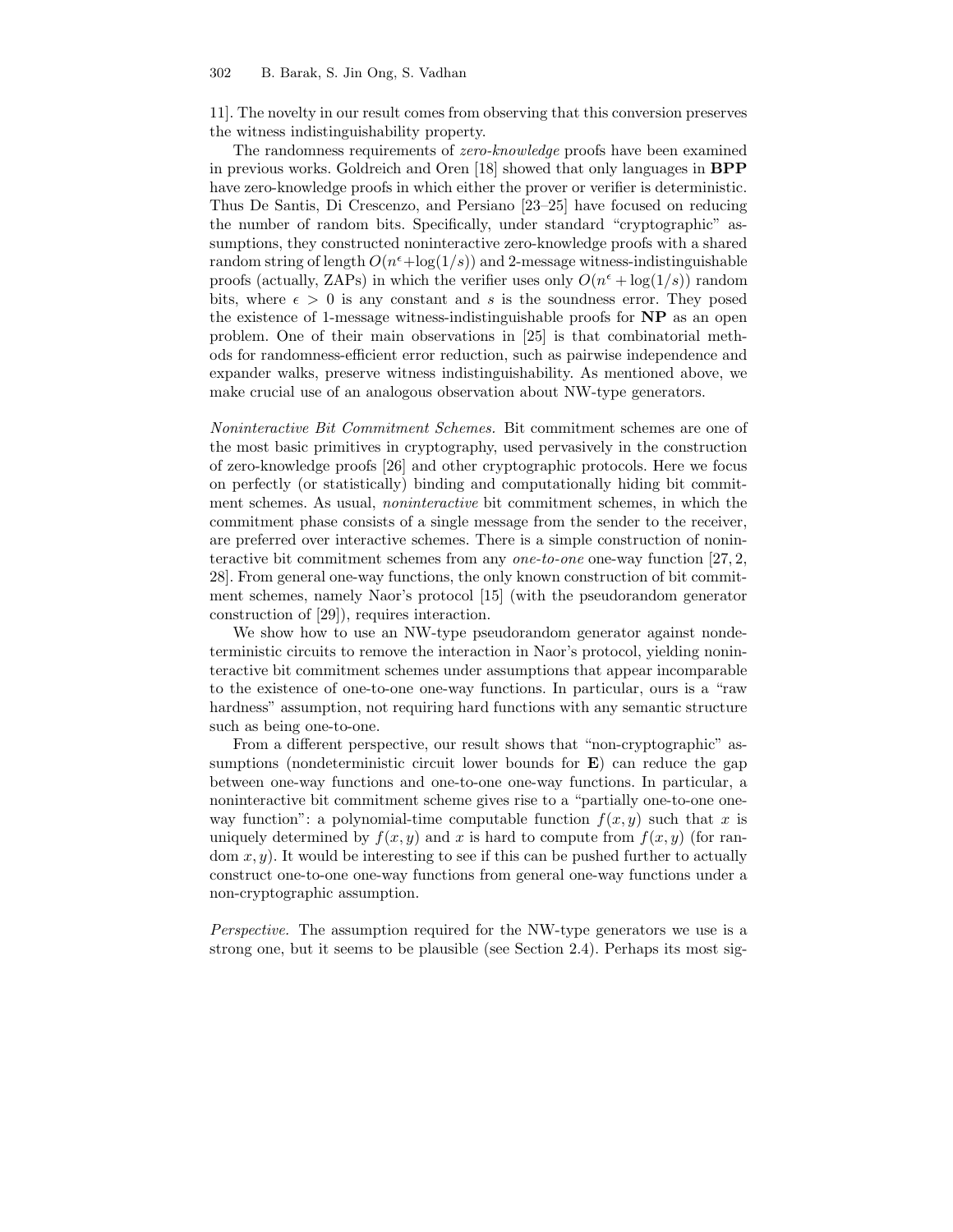11]. The novelty in our result comes from observing that this conversion preserves the witness indistinguishability property.

The randomness requirements of zero-knowledge proofs have been examined in previous works. Goldreich and Oren [18] showed that only languages in BPP have zero-knowledge proofs in which either the prover or verifier is deterministic. Thus De Santis, Di Crescenzo, and Persiano [23–25] have focused on reducing the number of random bits. Specifically, under standard "cryptographic" assumptions, they constructed noninteractive zero-knowledge proofs with a shared random string of length  $O(n^{\epsilon} + \log(1/s))$  and 2-message witness-indistinguishable proofs (actually, ZAPs) in which the verifier uses only  $O(n^{\epsilon} + \log(1/s))$  random bits, where  $\epsilon > 0$  is any constant and s is the soundness error. They posed the existence of 1-message witness-indistinguishable proofs for NP as an open problem. One of their main observations in [25] is that combinatorial methods for randomness-efficient error reduction, such as pairwise independence and expander walks, preserve witness indistinguishability. As mentioned above, we make crucial use of an analogous observation about NW-type generators.

Noninteractive Bit Commitment Schemes. Bit commitment schemes are one of the most basic primitives in cryptography, used pervasively in the construction of zero-knowledge proofs [26] and other cryptographic protocols. Here we focus on perfectly (or statistically) binding and computationally hiding bit commitment schemes. As usual, noninteractive bit commitment schemes, in which the commitment phase consists of a single message from the sender to the receiver, are preferred over interactive schemes. There is a simple construction of noninteractive bit commitment schemes from any one-to-one one-way function [27, 2, 28]. From general one-way functions, the only known construction of bit commitment schemes, namely Naor's protocol [15] (with the pseudorandom generator construction of [29]), requires interaction.

We show how to use an NW-type pseudorandom generator against nondeterministic circuits to remove the interaction in Naor's protocol, yielding noninteractive bit commitment schemes under assumptions that appear incomparable to the existence of one-to-one one-way functions. In particular, ours is a "raw hardness" assumption, not requiring hard functions with any semantic structure such as being one-to-one.

From a different perspective, our result shows that "non-cryptographic" assumptions (nondeterministic circuit lower bounds for  $E$ ) can reduce the gap between one-way functions and one-to-one one-way functions. In particular, a noninteractive bit commitment scheme gives rise to a "partially one-to-one oneway function": a polynomial-time computable function  $f(x, y)$  such that x is uniquely determined by  $f(x, y)$  and x is hard to compute from  $f(x, y)$  (for ran $dom(x, y)$ . It would be interesting to see if this can be pushed further to actually construct one-to-one one-way functions from general one-way functions under a non-cryptographic assumption.

Perspective. The assumption required for the NW-type generators we use is a strong one, but it seems to be plausible (see Section 2.4). Perhaps its most sig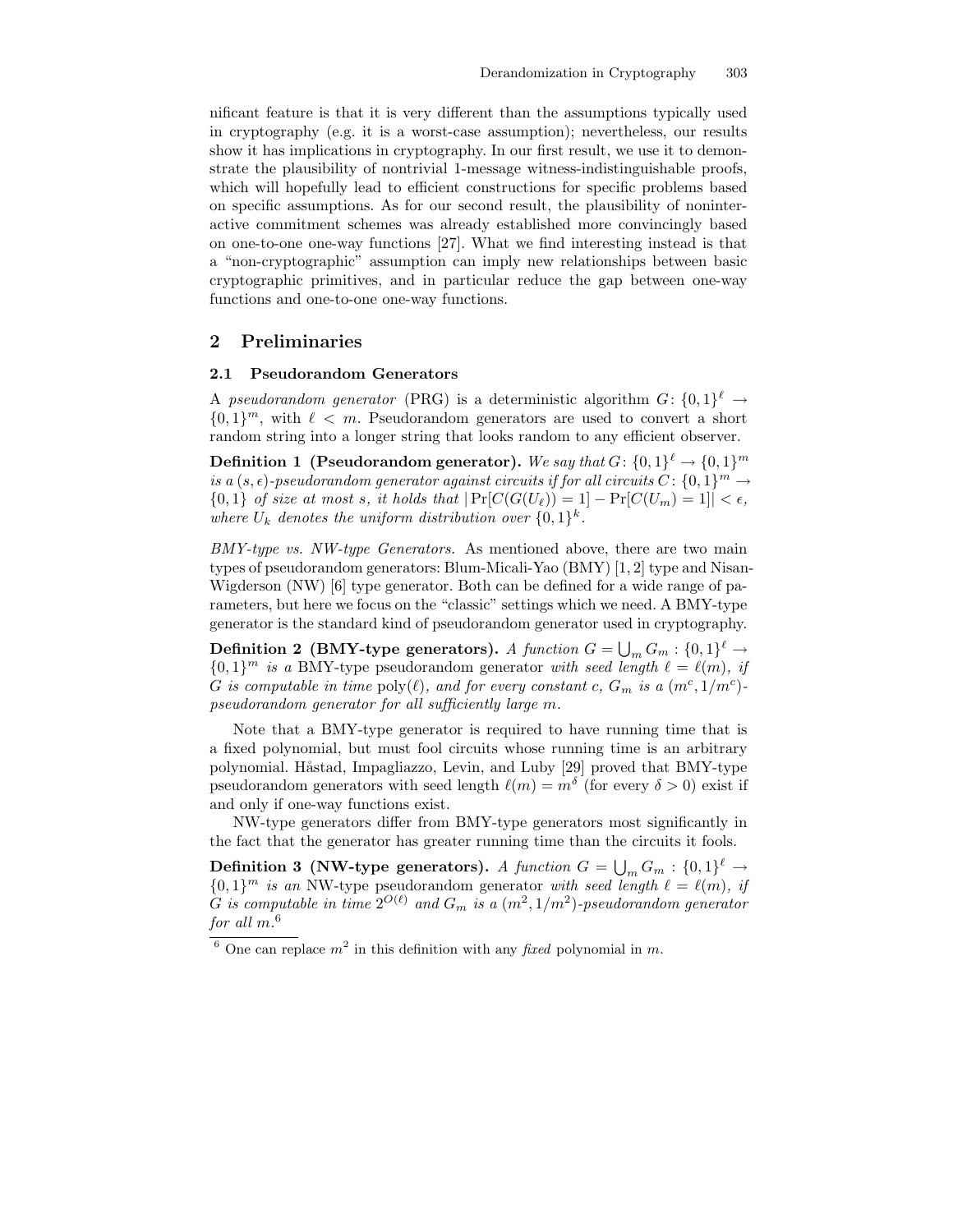nificant feature is that it is very different than the assumptions typically used in cryptography (e.g. it is a worst-case assumption); nevertheless, our results show it has implications in cryptography. In our first result, we use it to demonstrate the plausibility of nontrivial 1-message witness-indistinguishable proofs, which will hopefully lead to efficient constructions for specific problems based on specific assumptions. As for our second result, the plausibility of noninteractive commitment schemes was already established more convincingly based on one-to-one one-way functions [27]. What we find interesting instead is that a "non-cryptographic" assumption can imply new relationships between basic cryptographic primitives, and in particular reduce the gap between one-way functions and one-to-one one-way functions.

# 2 Preliminaries

## 2.1 Pseudorandom Generators

A pseudorandom generator (PRG) is a deterministic algorithm  $G: \{0,1\}^{\ell} \rightarrow$  ${0,1}<sup>m</sup>$ , with  $\ell < m$ . Pseudorandom generators are used to convert a short random string into a longer string that looks random to any efficient observer.

Definition 1 (Pseudorandom generator). We say that  $G \colon \{0,1\}^{\ell} \to \{0,1\}^m$ is a  $(s, \epsilon)$ -pseudorandom generator against circuits if for all circuits  $C: \{0,1\}^m \to$  ${0, 1}$  of size at most s, it holds that  $|\Pr[C(G(U_\ell))] = 1] - \Pr[C(U_m) = 1]| < \epsilon$ , where  $U_k$  denotes the uniform distribution over  $\{0,1\}^k$ .

BMY-type vs. NW-type Generators. As mentioned above, there are two main types of pseudorandom generators: Blum-Micali-Yao (BMY) [1, 2] type and Nisan-Wigderson (NW) [6] type generator. Both can be defined for a wide range of parameters, but here we focus on the "classic" settings which we need. A BMY-type generator is the standard kind of pseudorandom generator used in cryptography.

Definition 2 (BMY-type generators). A function  $G = \bigcup_m G_m : \{0,1\}^{\ell} \to$  ${0,1}^m$  is a BMY-type pseudorandom generator with seed length  $\ell = \ell(m)$ , if G is computable in time  $\text{poly}(\ell)$ , and for every constant c,  $G_m$  is a  $(m^c, 1/m^c)$ . pseudorandom generator for all sufficiently large m.

Note that a BMY-type generator is required to have running time that is a fixed polynomial, but must fool circuits whose running time is an arbitrary polynomial. Håstad, Impagliazzo, Levin, and Luby [29] proved that BMY-type pseudorandom generators with seed length  $\ell(m) = m^{\delta}$  (for every  $\delta > 0$ ) exist if and only if one-way functions exist.

NW-type generators differ from BMY-type generators most significantly in the fact that the generator has greater running time than the circuits it fools.

Definition 3 (NW-type generators). A function  $G = \bigcup_m G_m : \{0,1\}^{\ell} \to$  $\{0,1\}^m$  is an NW-type pseudorandom generator with seed length  $\ell = \ell(m)$ , if  $G$  is computable in time  $2^{O(\ell)}$  and  $G_m$  is a  $(m^2,1/m^2)$ -pseudorandom generator for all m. 6

<sup>&</sup>lt;sup>6</sup> One can replace  $m^2$  in this definition with any *fixed* polynomial in m.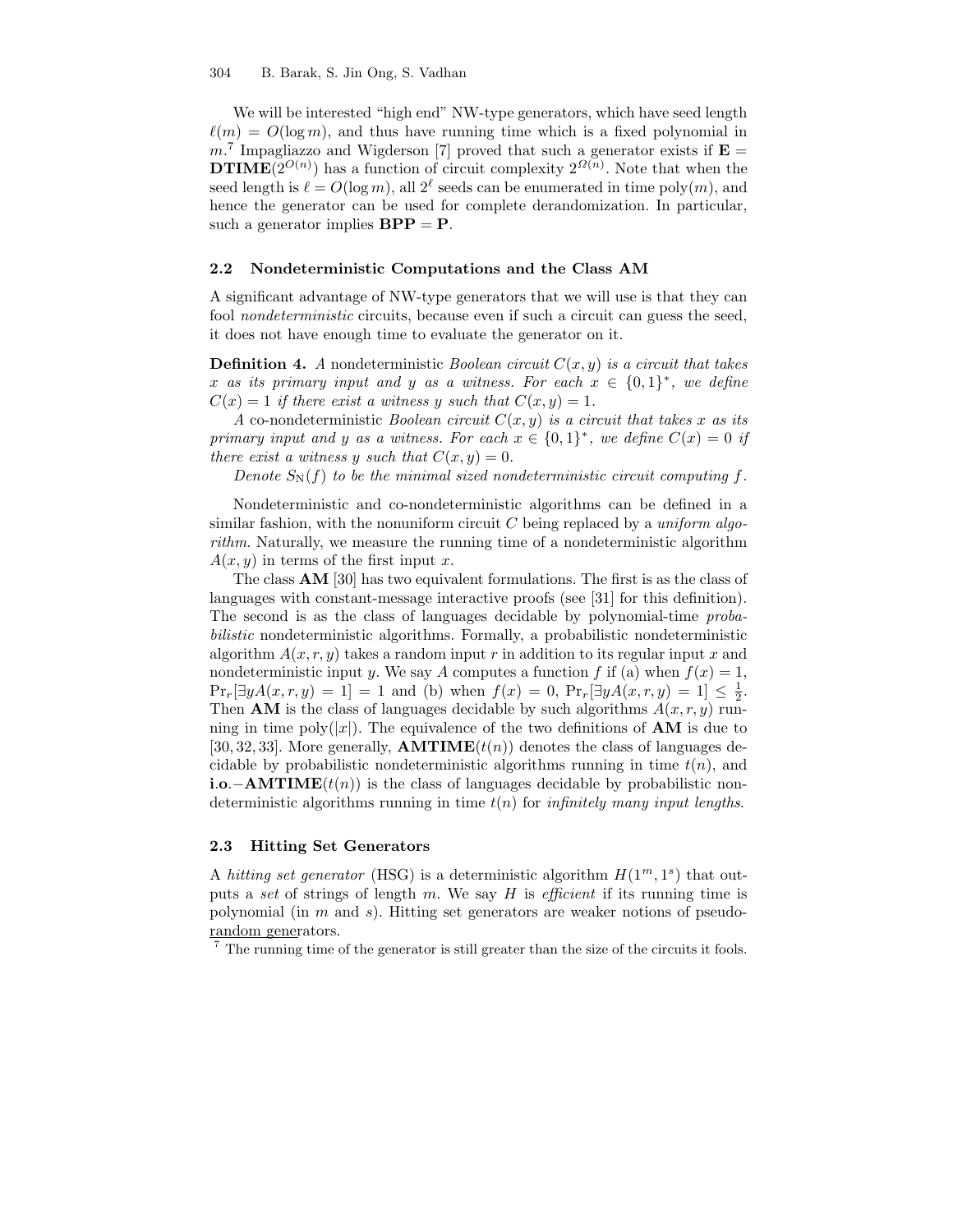We will be interested "high end" NW-type generators, which have seed length  $\ell(m) = O(\log m)$ , and thus have running time which is a fixed polynomial in  $m<sup>7</sup>$  Impagliazzo and Wigderson [7] proved that such a generator exists if  $\mathbf{E} =$ **DTIME** $(2^{O(n)})$  has a function of circuit complexity  $2^{O(n)}$ . Note that when the seed length is  $\ell = O(\log m)$ , all  $2^{\ell}$  seeds can be enumerated in time poly $(m)$ , and hence the generator can be used for complete derandomization. In particular, such a generator implies  $BPP = P$ .

#### 2.2 Nondeterministic Computations and the Class AM

A significant advantage of NW-type generators that we will use is that they can fool nondeterministic circuits, because even if such a circuit can guess the seed, it does not have enough time to evaluate the generator on it.

**Definition 4.** A nondeterministic Boolean circuit  $C(x, y)$  is a circuit that takes x as its primary input and y as a witness. For each  $x \in \{0,1\}^*$ , we define  $C(x) = 1$  if there exist a witness y such that  $C(x, y) = 1$ .

A co-nondeterministic Boolean circuit  $C(x, y)$  is a circuit that takes x as its primary input and y as a witness. For each  $x \in \{0,1\}^*$ , we define  $C(x) = 0$  if there exist a witness y such that  $C(x, y) = 0$ .

Denote  $S_{\rm N}(f)$  to be the minimal sized nondeterministic circuit computing f.

Nondeterministic and co-nondeterministic algorithms can be defined in a similar fashion, with the nonuniform circuit  $C$  being replaced by a *uniform algo*rithm. Naturally, we measure the running time of a nondeterministic algorithm  $A(x, y)$  in terms of the first input x.

The class AM [30] has two equivalent formulations. The first is as the class of languages with constant-message interactive proofs (see [31] for this definition). The second is as the class of languages decidable by polynomial-time probabilistic nondeterministic algorithms. Formally, a probabilistic nondeterministic algorithm  $A(x, r, y)$  takes a random input r in addition to its regular input x and nondeterministic input y. We say A computes a function f if (a) when  $f(x) = 1$ ,  $Pr_r[\exists y A(x, r, y) = 1] = 1$  and (b) when  $f(x) = 0$ ,  $Pr_r[\exists y A(x, r, y) = 1] \le \frac{1}{2}$ . Then **AM** is the class of languages decidable by such algorithms  $A(x, r, y)$  running in time poly(|x|). The equivalence of the two definitions of **AM** is due to [30, 32, 33]. More generally,  $AMTIME(t(n))$  denotes the class of languages decidable by probabilistic nondeterministic algorithms running in time  $t(n)$ , and **i.o.−AMTIME**( $t(n)$ ) is the class of languages decidable by probabilistic nondeterministic algorithms running in time  $t(n)$  for *infinitely many input lengths*.

## 2.3 Hitting Set Generators

A hitting set generator (HSG) is a deterministic algorithm  $H(1^m, 1^s)$  that outputs a set of strings of length m. We say  $H$  is efficient if its running time is polynomial (in  $m$  and  $s$ ). Hitting set generators are weaker notions of pseudorandom generators.

 $^7$  The running time of the generator is still greater than the size of the circuits it fools.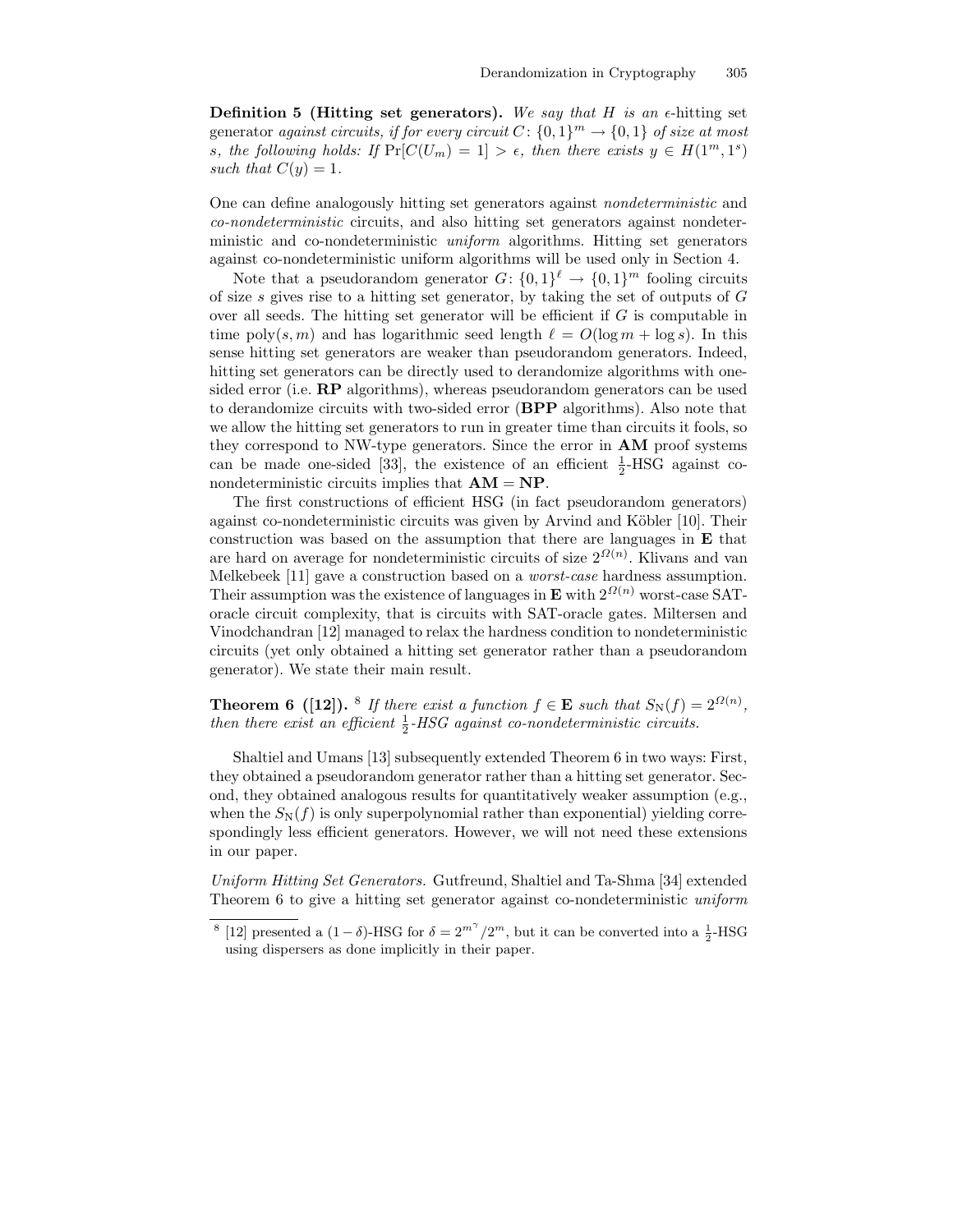Definition 5 (Hitting set generators). We say that H is an  $\epsilon$ -hitting set generator against circuits, if for every circuit  $C: \{0,1\}^m \to \{0,1\}$  of size at most s, the following holds: If  $Pr[C(U_m) = 1] > \epsilon$ , then there exists  $y \in H(1^m, 1^s)$ such that  $C(y) = 1$ .

One can define analogously hitting set generators against nondeterministic and co-nondeterministic circuits, and also hitting set generators against nondeterministic and co-nondeterministic uniform algorithms. Hitting set generators against co-nondeterministic uniform algorithms will be used only in Section 4.

Note that a pseudorandom generator  $G: \{0,1\}^{\ell} \to \{0,1\}^m$  fooling circuits of size  $s$  gives rise to a hitting set generator, by taking the set of outputs of  $G$ over all seeds. The hitting set generator will be efficient if  $G$  is computable in time poly $(s, m)$  and has logarithmic seed length  $\ell = O(\log m + \log s)$ . In this sense hitting set generators are weaker than pseudorandom generators. Indeed, hitting set generators can be directly used to derandomize algorithms with onesided error (i.e. RP algorithms), whereas pseudorandom generators can be used to derandomize circuits with two-sided error (BPP algorithms). Also note that we allow the hitting set generators to run in greater time than circuits it fools, so they correspond to NW-type generators. Since the error in AM proof systems can be made one-sided [33], the existence of an efficient  $\frac{1}{2}$ -HSG against conondeterministic circuits implies that  $AM = NP$ .

The first constructions of efficient HSG (in fact pseudorandom generators) against co-nondeterministic circuits was given by Arvind and Köbler [10]. Their construction was based on the assumption that there are languages in E that are hard on average for nondeterministic circuits of size  $2^{\Omega(n)}$ . Klivans and van Melkebeek [11] gave a construction based on a worst-case hardness assumption. Their assumption was the existence of languages in  **with**  $2^{Q(n)}$  **worst-case SAT**oracle circuit complexity, that is circuits with SAT-oracle gates. Miltersen and Vinodchandran [12] managed to relax the hardness condition to nondeterministic circuits (yet only obtained a hitting set generator rather than a pseudorandom generator). We state their main result.

**Theorem 6** ([12]). <sup>8</sup> If there exist a function  $f \in \mathbf{E}$  such that  $S_N(f) = 2^{\Omega(n)}$ , then there exist an efficient  $\frac{1}{2}$ -HSG against co-nondeterministic circuits.

Shaltiel and Umans [13] subsequently extended Theorem 6 in two ways: First, they obtained a pseudorandom generator rather than a hitting set generator. Second, they obtained analogous results for quantitatively weaker assumption (e.g., when the  $S_N(f)$  is only superpolynomial rather than exponential) yielding correspondingly less efficient generators. However, we will not need these extensions in our paper.

Uniform Hitting Set Generators. Gutfreund, Shaltiel and Ta-Shma [34] extended Theorem 6 to give a hitting set generator against co-nondeterministic uniform

<sup>&</sup>lt;sup>8</sup> [12] presented a  $(1 - \delta)$ -HSG for  $\delta = 2^{m^{\gamma}}/2^m$ , but it can be converted into a  $\frac{1}{2}$ -HSG using dispersers as done implicitly in their paper.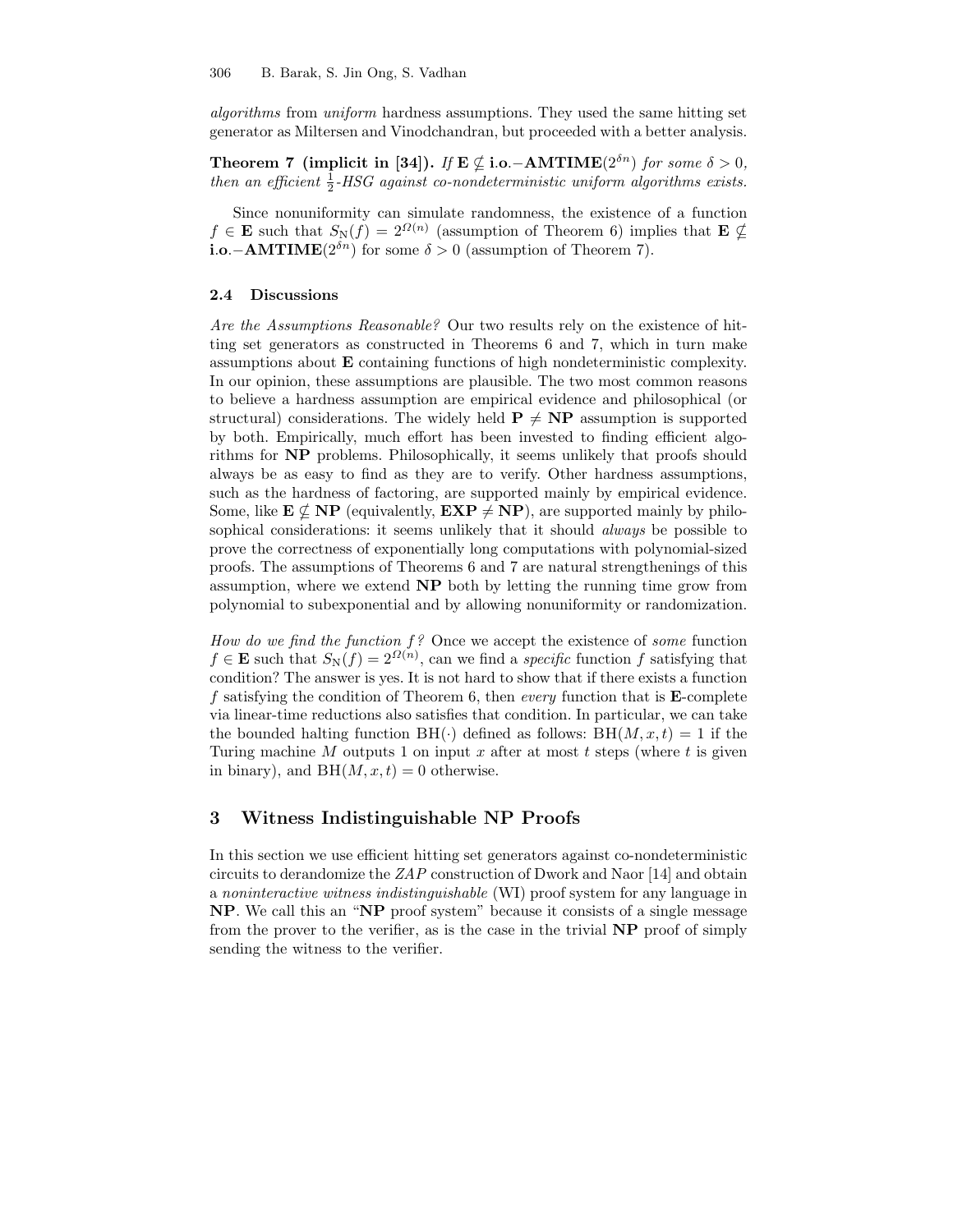algorithms from uniform hardness assumptions. They used the same hitting set generator as Miltersen and Vinodchandran, but proceeded with a better analysis.

Theorem 7 (implicit in [34]). If E  $\nsubseteq$  i.o.−AMTIME( $2^{\delta n}$ ) for some  $\delta > 0$ , then an efficient  $\frac{1}{2}$ -HSG against co-nondeterministic uniform algorithms exists.

Since nonuniformity can simulate randomness, the existence of a function  $f \in \mathbf{E}$  such that  $S_{\mathcal{N}}(f) = 2^{\Omega(n)}$  (assumption of Theorem 6) implies that  $\mathbf{E} \nsubseteq$ i.o.−AMTIME( $2^{\delta n}$ ) for some  $\delta > 0$  (assumption of Theorem 7).

#### 2.4 Discussions

Are the Assumptions Reasonable? Our two results rely on the existence of hitting set generators as constructed in Theorems 6 and 7, which in turn make assumptions about E containing functions of high nondeterministic complexity. In our opinion, these assumptions are plausible. The two most common reasons to believe a hardness assumption are empirical evidence and philosophical (or structural) considerations. The widely held  $P \neq NP$  assumption is supported by both. Empirically, much effort has been invested to finding efficient algorithms for NP problems. Philosophically, it seems unlikely that proofs should always be as easy to find as they are to verify. Other hardness assumptions, such as the hardness of factoring, are supported mainly by empirical evidence. Some, like  $E \nsubseteq NP$  (equivalently,  $EXP \ne NP$ ), are supported mainly by philosophical considerations: it seems unlikely that it should *always* be possible to prove the correctness of exponentially long computations with polynomial-sized proofs. The assumptions of Theorems 6 and 7 are natural strengthenings of this assumption, where we extend NP both by letting the running time grow from polynomial to subexponential and by allowing nonuniformity or randomization.

How do we find the function  $f$ ? Once we accept the existence of some function  $f \in \mathbf{E}$  such that  $S_{\mathcal{N}}(f) = 2^{\Omega(n)}$ , can we find a *specific* function f satisfying that condition? The answer is yes. It is not hard to show that if there exists a function f satisfying the condition of Theorem 6, then every function that is **E**-complete via linear-time reductions also satisfies that condition. In particular, we can take the bounded halting function  $BH(\cdot)$  defined as follows:  $BH(M, x, t) = 1$  if the Turing machine  $M$  outputs 1 on input  $x$  after at most  $t$  steps (where  $t$  is given in binary), and  $BH(M, x, t) = 0$  otherwise.

## 3 Witness Indistinguishable NP Proofs

In this section we use efficient hitting set generators against co-nondeterministic circuits to derandomize the ZAP construction of Dwork and Naor [14] and obtain a noninteractive witness indistinguishable (WI) proof system for any language in NP. We call this an "NP proof system" because it consists of a single message from the prover to the verifier, as is the case in the trivial NP proof of simply sending the witness to the verifier.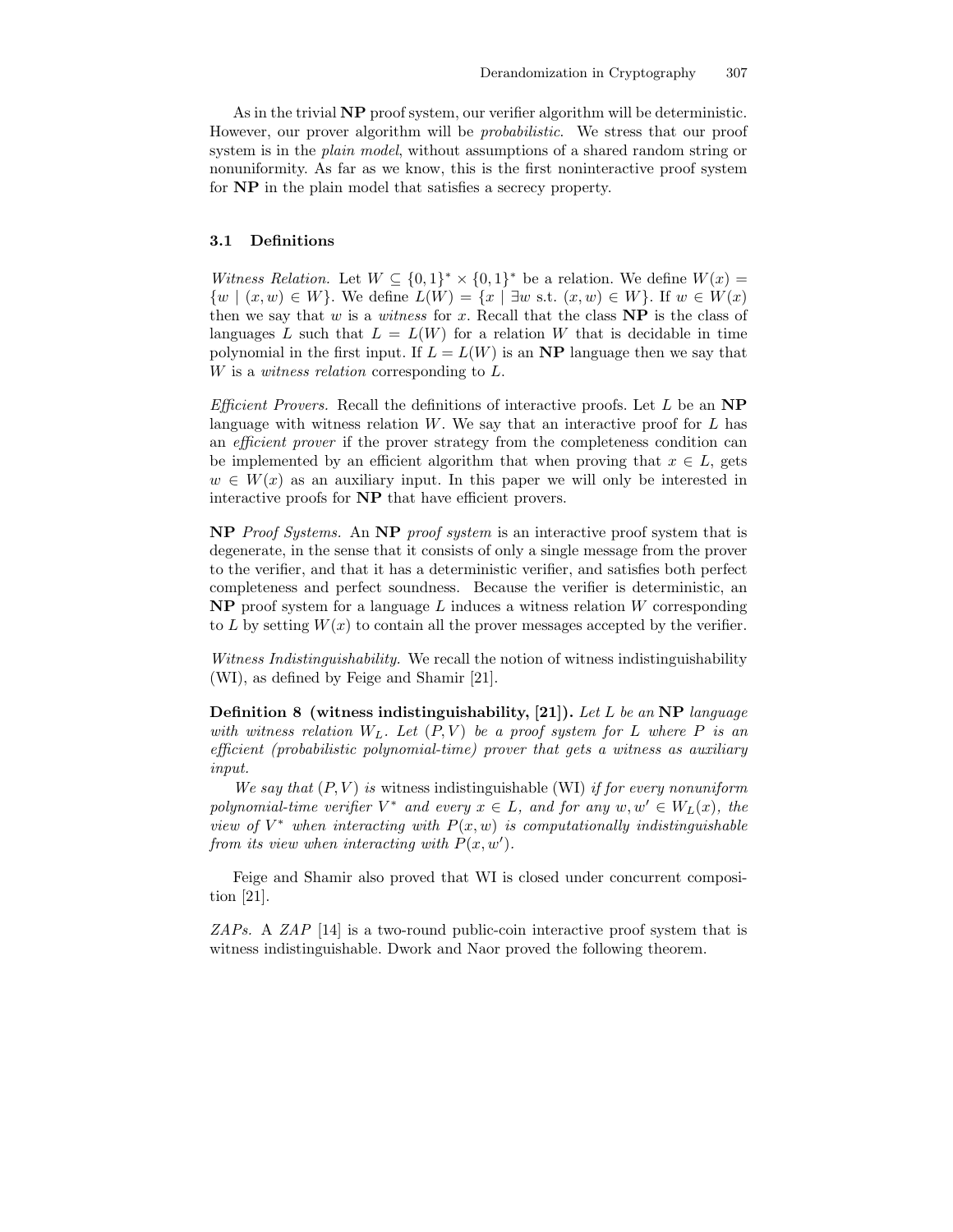As in the trivial **NP** proof system, our verifier algorithm will be deterministic. However, our prover algorithm will be probabilistic. We stress that our proof system is in the *plain model*, without assumptions of a shared random string or nonuniformity. As far as we know, this is the first noninteractive proof system for NP in the plain model that satisfies a secrecy property.

## 3.1 Definitions

Witness Relation. Let  $W \subseteq \{0,1\}^* \times \{0,1\}^*$  be a relation. We define  $W(x) =$  $\{w \mid (x,w) \in W\}$ . We define  $L(W) = \{x \mid \exists w \text{ s.t. } (x,w) \in W\}$ . If  $w \in W(x)$ then we say that w is a witness for x. Recall that the class  $NP$  is the class of languages L such that  $L = L(W)$  for a relation W that is decidable in time polynomial in the first input. If  $L = L(W)$  is an **NP** language then we say that  $W$  is a *witness relation* corresponding to  $L$ .

*Efficient Provers.* Recall the definitions of interactive proofs. Let  $L$  be an  $NP$ language with witness relation  $W$ . We say that an interactive proof for  $L$  has an efficient prover if the prover strategy from the completeness condition can be implemented by an efficient algorithm that when proving that  $x \in L$ , gets  $w \in W(x)$  as an auxiliary input. In this paper we will only be interested in interactive proofs for NP that have efficient provers.

NP Proof Systems. An NP proof system is an interactive proof system that is degenerate, in the sense that it consists of only a single message from the prover to the verifier, and that it has a deterministic verifier, and satisfies both perfect completeness and perfect soundness. Because the verifier is deterministic, an  $NP$  proof system for a language  $L$  induces a witness relation  $W$  corresponding to L by setting  $W(x)$  to contain all the prover messages accepted by the verifier.

Witness Indistinguishability. We recall the notion of witness indistinguishability (WI), as defined by Feige and Shamir [21].

Definition 8 (witness indistinguishability, [21]). Let L be an NP language with witness relation  $W_L$ . Let  $(P, V)$  be a proof system for L where P is an efficient (probabilistic polynomial-time) prover that gets a witness as auxiliary input.

We say that  $(P, V)$  is witness indistinguishable (WI) if for every nonuniform polynomial-time verifier  $V^*$  and every  $x \in L$ , and for any  $w, w' \in W_L(x)$ , the view of  $V^*$  when interacting with  $P(x, w)$  is computationally indistinguishable from its view when interacting with  $P(x, w')$ .

Feige and Shamir also proved that WI is closed under concurrent composition [21].

ZAPs. A ZAP  $[14]$  is a two-round public-coin interactive proof system that is witness indistinguishable. Dwork and Naor proved the following theorem.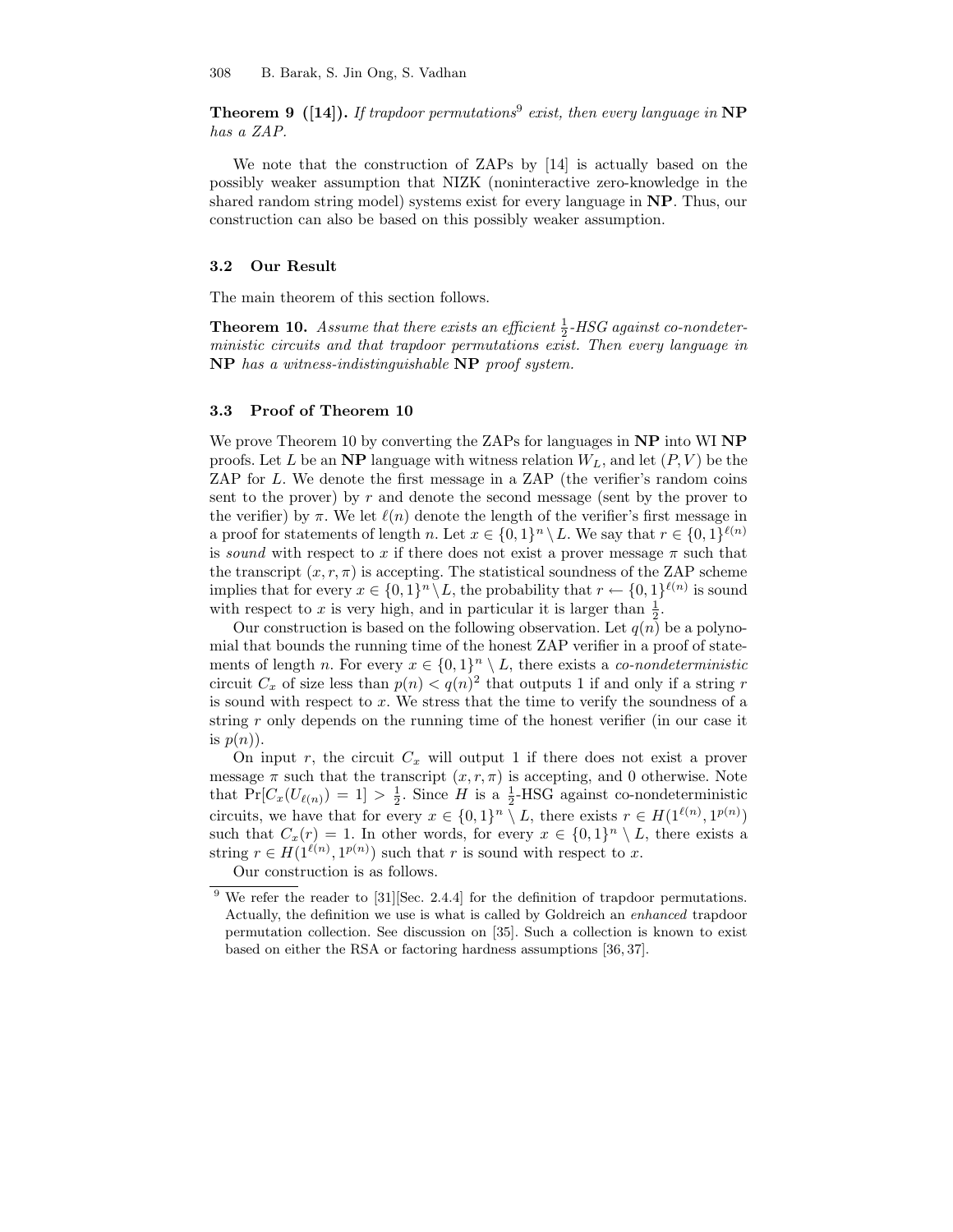**Theorem 9** ([14]). If trapdoor permutations<sup>9</sup> exist, then every language in NP has a ZAP.

We note that the construction of ZAPs by [14] is actually based on the possibly weaker assumption that NIZK (noninteractive zero-knowledge in the shared random string model) systems exist for every language in NP. Thus, our construction can also be based on this possibly weaker assumption.

#### 3.2 Our Result

The main theorem of this section follows.

**Theorem 10.** Assume that there exists an efficient  $\frac{1}{2}$ -HSG against co-nondeterministic circuits and that trapdoor permutations exist. Then every language in NP has a witness-indistinguishable NP proof system.

## 3.3 Proof of Theorem 10

We prove Theorem 10 by converting the ZAPs for languages in **NP** into WI **NP** proofs. Let L be an **NP** language with witness relation  $W_L$ , and let  $(P, V)$  be the ZAP for L. We denote the first message in a ZAP (the verifier's random coins sent to the prover) by  $r$  and denote the second message (sent by the prover to the verifier) by  $\pi$ . We let  $\ell(n)$  denote the length of the verifier's first message in a proof for statements of length n. Let  $x \in \{0,1\}^n \setminus L$ . We say that  $r \in \{0,1\}^{\ell(n)}$ is sound with respect to x if there does not exist a prover message  $\pi$  such that the transcript  $(x, r, \pi)$  is accepting. The statistical soundness of the ZAP scheme implies that for every  $x \in \{0,1\}^n \setminus L$ , the probability that  $r \leftarrow \{0,1\}^{\ell(n)}$  is sound with respect to x is very high, and in particular it is larger than  $\frac{1}{2}$ .

Our construction is based on the following observation. Let  $q(n)$  be a polynomial that bounds the running time of the honest ZAP verifier in a proof of statements of length *n*. For every  $x \in \{0,1\}^n \setminus L$ , there exists a *co-nondeterministic* circuit  $C_x$  of size less than  $p(n) < q(n)^2$  that outputs 1 if and only if a string r is sound with respect to  $x$ . We stress that the time to verify the soundness of a string r only depends on the running time of the honest verifier (in our case it is  $p(n)$ ).

On input r, the circuit  $C_x$  will output 1 if there does not exist a prover message  $\pi$  such that the transcript  $(x, r, \pi)$  is accepting, and 0 otherwise. Note that  $Pr[C_x(U_{\ell(n)}) = 1] > \frac{1}{2}$ . Since H is a  $\frac{1}{2}$ -HSG against co-nondeterministic circuits, we have that for every  $x \in \{0,1\}^n \setminus L$ , there exists  $r \in H(1^{\ell(n)}, 1^{p(n)})$ such that  $C_x(r) = 1$ . In other words, for every  $x \in \{0,1\}^n \setminus L$ , there exists a string  $r \in H(1^{\ell(n)}, 1^{p(n)})$  such that r is sound with respect to x.

Our construction is as follows.

 $9$  We refer the reader to  $[31]$ [Sec. 2.4.4] for the definition of trapdoor permutations. Actually, the definition we use is what is called by Goldreich an enhanced trapdoor permutation collection. See discussion on [35]. Such a collection is known to exist based on either the RSA or factoring hardness assumptions [36, 37].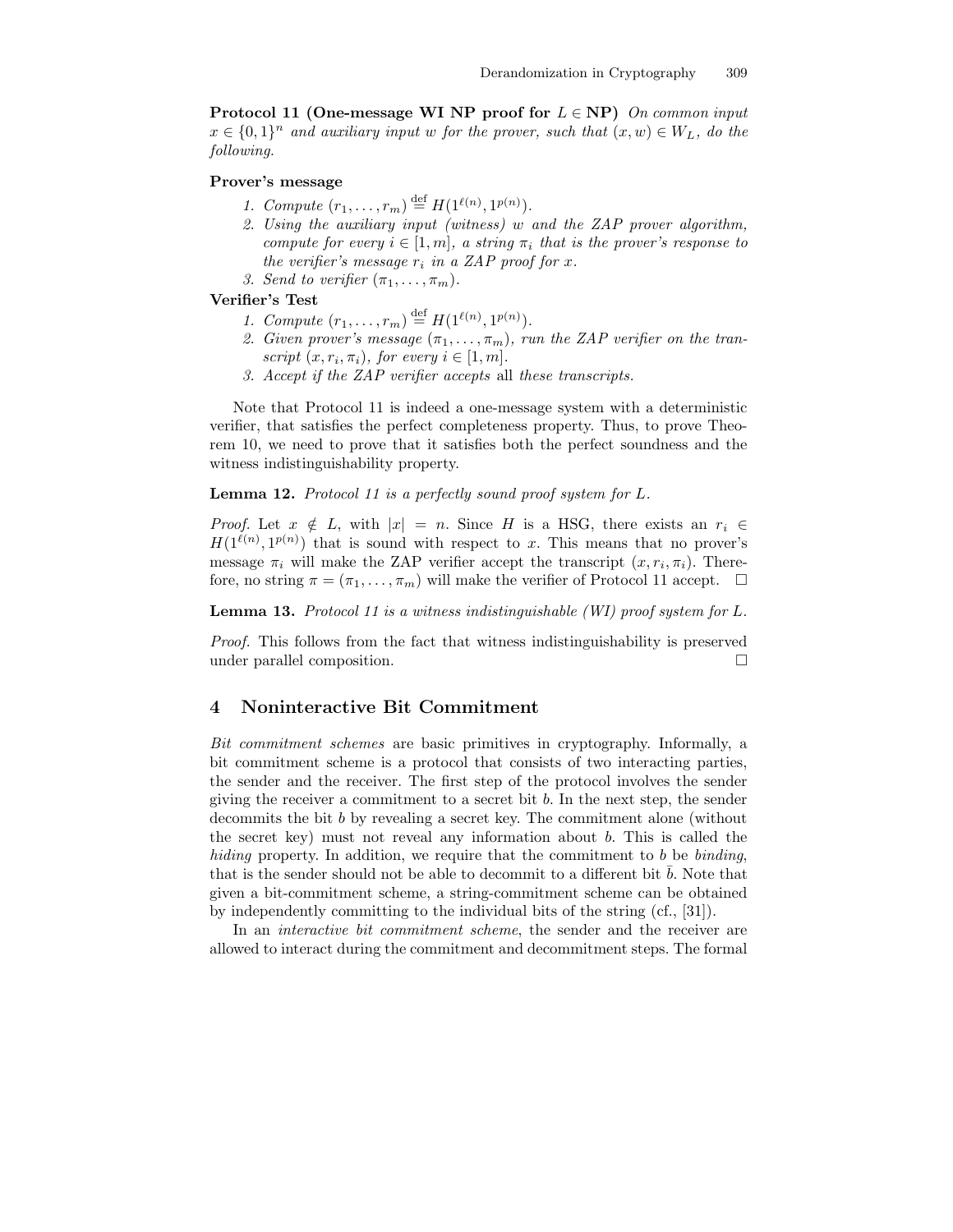Protocol 11 (One-message WI NP proof for  $L \in NP$ ) On common input  $x \in \{0,1\}^n$  and auxiliary input w for the prover, such that  $(x, w) \in W_L$ , do the following.

## Prover's message

- 1. Compute  $(r_1, ..., r_m) \stackrel{\text{def}}{=} H(1^{\ell(n)}, 1^{p(n)}).$
- 2. Using the auxiliary input (witness) w and the ZAP prover algorithm, compute for every  $i \in [1, m]$ , a string  $\pi_i$  that is the prover's response to the verifier's message  $r_i$  in a ZAP proof for x.
- 3. Send to verifier  $(\pi_1, \ldots, \pi_m)$ .

# Verifier's Test

- 1. Compute  $(r_1, ..., r_m) \stackrel{\text{def}}{=} H(1^{\ell(n)}, 1^{p(n)}).$
- 2. Given prover's message  $(\pi_1, \ldots, \pi_m)$ , run the ZAP verifier on the transcript  $(x, r_i, \pi_i)$ , for every  $i \in [1, m]$ .
- 3. Accept if the ZAP verifier accepts all these transcripts.

Note that Protocol 11 is indeed a one-message system with a deterministic verifier, that satisfies the perfect completeness property. Thus, to prove Theorem 10, we need to prove that it satisfies both the perfect soundness and the witness indistinguishability property.

## Lemma 12. Protocol 11 is a perfectly sound proof system for L.

*Proof.* Let  $x \notin L$ , with  $|x| = n$ . Since H is a HSG, there exists an  $r_i \in$  $H(1^{\ell(n)}, 1^{p(n)})$  that is sound with respect to x. This means that no prover's message  $\pi_i$  will make the ZAP verifier accept the transcript  $(x, r_i, \pi_i)$ . Therefore, no string  $\pi = (\pi_1, \ldots, \pi_m)$  will make the verifier of Protocol 11 accept.  $\Box$ 

**Lemma 13.** Protocol 11 is a witness indistinguishable  $(WI)$  proof system for L.

Proof. This follows from the fact that witness indistinguishability is preserved under parallel composition.

# 4 Noninteractive Bit Commitment

Bit commitment schemes are basic primitives in cryptography. Informally, a bit commitment scheme is a protocol that consists of two interacting parties, the sender and the receiver. The first step of the protocol involves the sender giving the receiver a commitment to a secret bit b. In the next step, the sender decommits the bit b by revealing a secret key. The commitment alone (without the secret key) must not reveal any information about  $b$ . This is called the hiding property. In addition, we require that the commitment to b be binding, that is the sender should not be able to decommit to a different bit  $b$ . Note that given a bit-commitment scheme, a string-commitment scheme can be obtained by independently committing to the individual bits of the string (cf., [31]).

In an *interactive bit commitment scheme*, the sender and the receiver are allowed to interact during the commitment and decommitment steps. The formal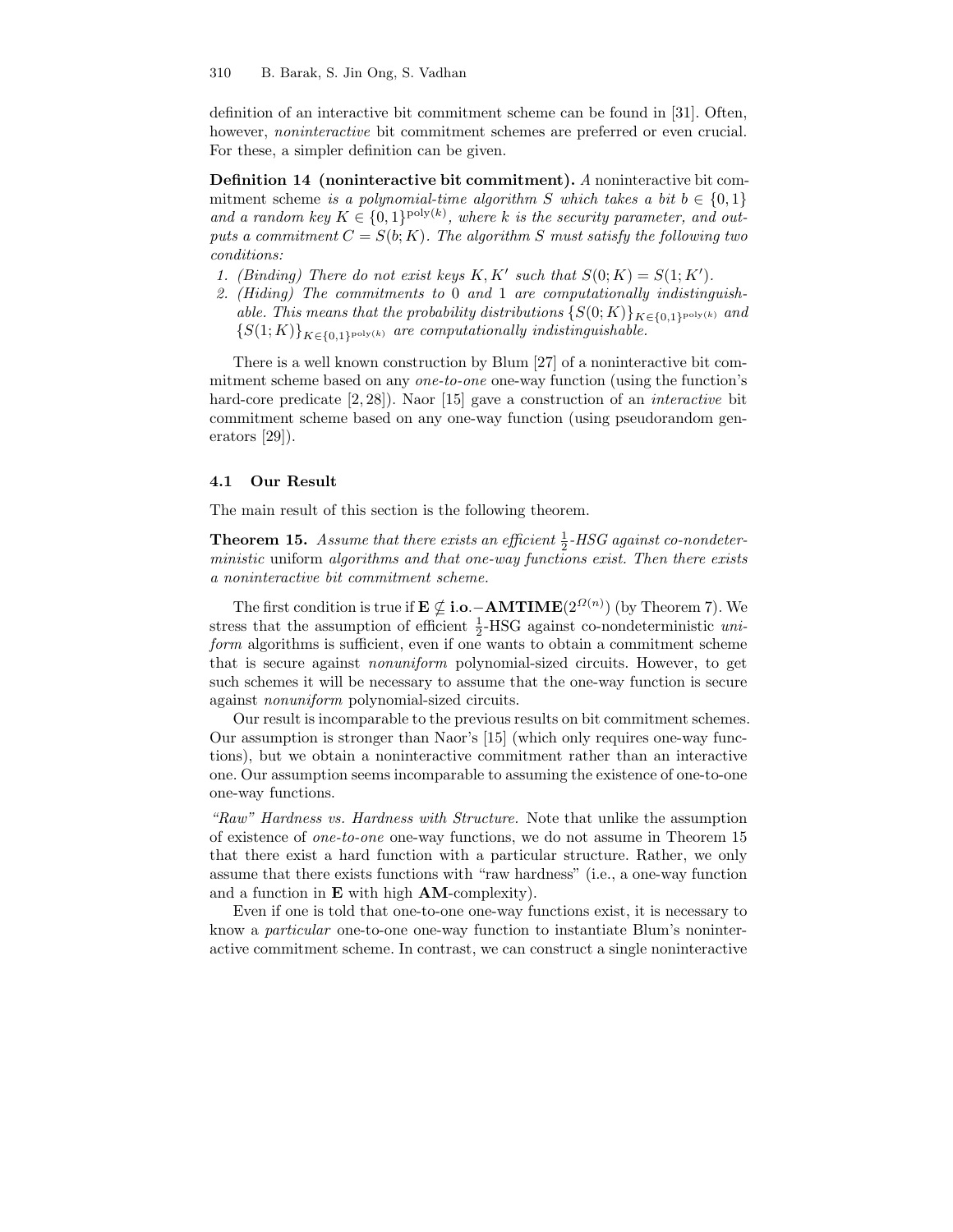definition of an interactive bit commitment scheme can be found in [31]. Often, however, *noninteractive* bit commitment schemes are preferred or even crucial. For these, a simpler definition can be given.

Definition 14 (noninteractive bit commitment). A noninteractive bit commitment scheme is a polynomial-time algorithm S which takes a bit  $b \in \{0,1\}$ and a random key  $K \in \{0,1\}^{\text{poly}(k)}$ , where k is the security parameter, and outputs a commitment  $C = S(b; K)$ . The algorithm S must satisfy the following two conditions:

- 1. (Binding) There do not exist keys  $K, K'$  such that  $S(0; K) = S(1; K')$ .
- 2. (Hiding) The commitments to 0 and 1 are computationally indistinguishable. This means that the probability distributions  $\{S(0; K)\}_{K\in\{0,1\}^{\text{poly}(k)}}$  and  ${S(1; K)}_{K \in \{0,1\}^{\text{poly}(k)}}$  are computationally indistinguishable.

There is a well known construction by Blum [27] of a noninteractive bit commitment scheme based on any one-to-one one-way function (using the function's hard-core predicate  $[2, 28]$ ). Naor  $[15]$  gave a construction of an *interactive* bit commitment scheme based on any one-way function (using pseudorandom generators [29]).

## 4.1 Our Result

The main result of this section is the following theorem.

**Theorem 15.** Assume that there exists an efficient  $\frac{1}{2}$ -HSG against co-nondeterministic uniform algorithms and that one-way functions exist. Then there exists a noninteractive bit commitment scheme.

The first condition is true if  $\mathbf{E} \nsubseteq \mathbf{i.o.} - \mathbf{AMTIME}(2^{\Omega(n)})$  (by Theorem 7). We stress that the assumption of efficient  $\frac{1}{2}$ -HSG against co-nondeterministic uniform algorithms is sufficient, even if one wants to obtain a commitment scheme that is secure against nonuniform polynomial-sized circuits. However, to get such schemes it will be necessary to assume that the one-way function is secure against nonuniform polynomial-sized circuits.

Our result is incomparable to the previous results on bit commitment schemes. Our assumption is stronger than Naor's [15] (which only requires one-way functions), but we obtain a noninteractive commitment rather than an interactive one. Our assumption seems incomparable to assuming the existence of one-to-one one-way functions.

"Raw" Hardness vs. Hardness with Structure. Note that unlike the assumption of existence of one-to-one one-way functions, we do not assume in Theorem 15 that there exist a hard function with a particular structure. Rather, we only assume that there exists functions with "raw hardness" (i.e., a one-way function and a function in  $E$  with high  $AM$ -complexity).

Even if one is told that one-to-one one-way functions exist, it is necessary to know a particular one-to-one one-way function to instantiate Blum's noninteractive commitment scheme. In contrast, we can construct a single noninteractive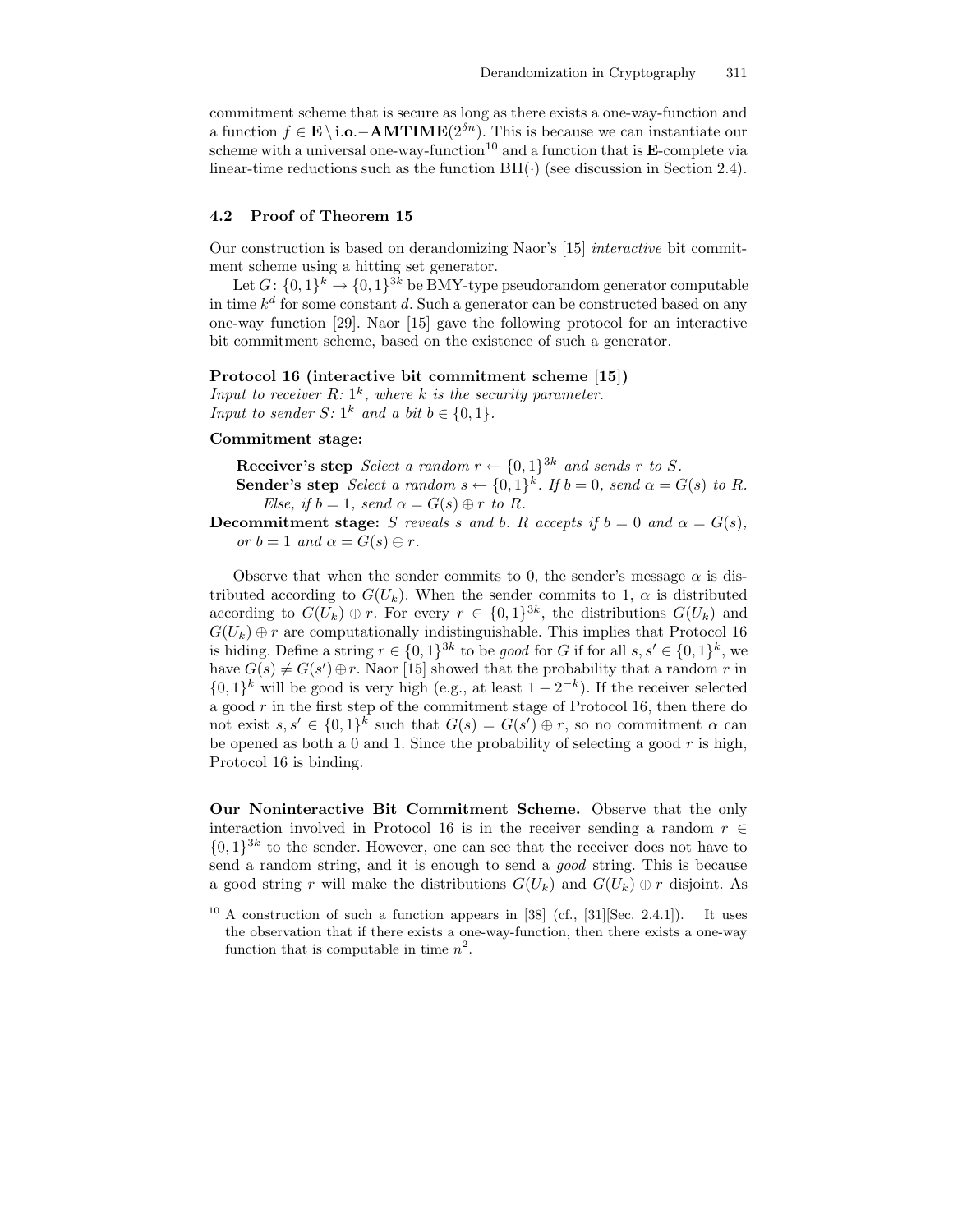commitment scheme that is secure as long as there exists a one-way-function and a function  $f \in \mathbf{E} \setminus \mathbf{i.o.} - \mathbf{AMTIME}(2^{\delta n})$ . This is because we can instantiate our scheme with a universal one-way-function<sup>10</sup> and a function that is  $E$ -complete via linear-time reductions such as the function  $BH(\cdot)$  (see discussion in Section 2.4).

#### 4.2 Proof of Theorem 15

Our construction is based on derandomizing Naor's [15] interactive bit commitment scheme using a hitting set generator.

Let  $G: \{0,1\}^k \to \{0,1\}^{3k}$  be BMY-type pseudorandom generator computable in time  $k^d$  for some constant d. Such a generator can be constructed based on any one-way function [29]. Naor [15] gave the following protocol for an interactive bit commitment scheme, based on the existence of such a generator.

#### Protocol 16 (interactive bit commitment scheme [15])

Input to receiver  $R: 1^k$ , where k is the security parameter. Input to sender  $S: 1^k$  and a bit  $b \in \{0, 1\}.$ 

## Commitment stage:

**Receiver's step** Select a random  $r \leftarrow \{0, 1\}^{3k}$  and sends r to S.

**Sender's step** Select a random  $s \leftarrow \{0,1\}^k$ . If  $b = 0$ , send  $\alpha = G(s)$  to R. Else, if  $b = 1$ , send  $\alpha = G(s) \oplus r$  to R.

**Decommitment stage:** S reveals s and b. R accepts if  $b = 0$  and  $\alpha = G(s)$ , or  $b = 1$  and  $\alpha = G(s) \oplus r$ .

Observe that when the sender commits to 0, the sender's message  $\alpha$  is distributed according to  $G(U_k)$ . When the sender commits to 1,  $\alpha$  is distributed according to  $G(U_k) \oplus r$ . For every  $r \in \{0,1\}^{3k}$ , the distributions  $G(U_k)$  and  $G(U_k) \oplus r$  are computationally indistinguishable. This implies that Protocol 16 is hiding. Define a string  $r \in \{0,1\}^{3k}$  to be good for G if for all  $s, s' \in \{0,1\}^k$ , we have  $G(s) \neq G(s') \oplus r$ . Naor [15] showed that the probability that a random r in  $\{0,1\}^k$  will be good is very high (e.g., at least  $1-2^{-k}$ ). If the receiver selected a good  $r$  in the first step of the commitment stage of Protocol 16, then there do not exist  $s, s' \in \{0,1\}^k$  such that  $G(s) = G(s') \oplus r$ , so no commitment  $\alpha$  can be opened as both a  $0$  and  $1$ . Since the probability of selecting a good  $r$  is high, Protocol 16 is binding.

Our Noninteractive Bit Commitment Scheme. Observe that the only interaction involved in Protocol 16 is in the receiver sending a random  $r \in$  $\{0,1\}^{3k}$  to the sender. However, one can see that the receiver does not have to send a random string, and it is enough to send a *good* string. This is because a good string r will make the distributions  $G(U_k)$  and  $G(U_k) \oplus r$  disjoint. As

 $10$  A construction of such a function appears in [38] (cf., [31][Sec. 2.4.1]). It uses the observation that if there exists a one-way-function, then there exists a one-way function that is computable in time  $n^2$ .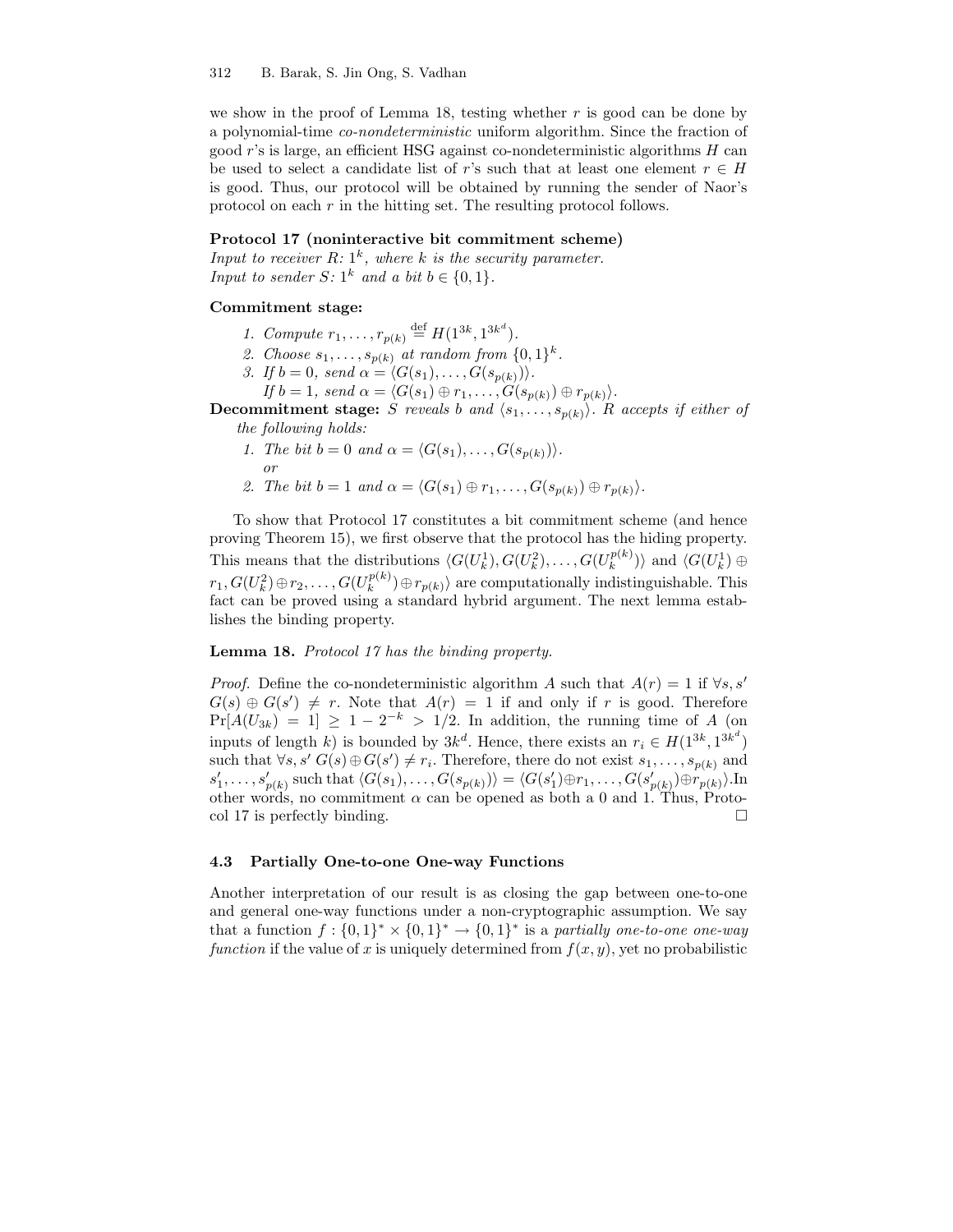we show in the proof of Lemma 18, testing whether  $r$  is good can be done by a polynomial-time co-nondeterministic uniform algorithm. Since the fraction of good  $r$ 's is large, an efficient HSG against co-nondeterministic algorithms  $H$  can be used to select a candidate list of r's such that at least one element  $r \in H$ is good. Thus, our protocol will be obtained by running the sender of Naor's protocol on each r in the hitting set. The resulting protocol follows.

## Protocol 17 (noninteractive bit commitment scheme)

Input to receiver  $R: 1^k$ , where k is the security parameter. Input to sender  $S: 1^k$  and a bit  $b \in \{0, 1\}.$ 

## Commitment stage:

- 1. Compute  $r_1, \ldots, r_{p(k)} \stackrel{\text{def}}{=} H(1^{3k}, 1^{3k^d}).$
- 2. Choose  $s_1, \ldots, s_{p(k)}$  at random from  $\{0,1\}^k$ .
- 3. If  $b = 0$ , send  $\alpha = \langle G(s_1), \ldots, G(s_{p(k)}) \rangle$ .
- If  $b = 1$ , send  $\alpha = \langle G(s_1) \oplus r_1, \ldots, G(s_{p(k)}) \oplus r_{p(k)}\rangle$ .

**Decommitment stage:** S reveals b and  $\langle s_1, \ldots, s_{p(k)} \rangle$ . R accepts if either of the following holds:

- 1. The bit  $b = 0$  and  $\alpha = \langle G(s_1), \ldots, G(s_{p(k)}) \rangle$ . or
- 2. The bit  $b = 1$  and  $\alpha = \langle G(s_1) \oplus r_1, \ldots, G(s_{p(k)}) \oplus r_{p(k)}\rangle$ .

To show that Protocol 17 constitutes a bit commitment scheme (and hence proving Theorem 15), we first observe that the protocol has the hiding property. This means that the distributions  $\langle G(U_k^1), G(U_k^2), \ldots, G(U_k^{p(k)}\rangle)$  $\langle G(U_k^1) \rangle$  and  $\langle G(U_k^1) \oplus$  $r_1, G(U^2_k) \oplus r_2, \ldots, G(U^{p(k)}_k)$  $\langle P^{(\kappa)} \rangle \oplus r_{p(k)}$  are computationally indistinguishable. This fact can be proved using a standard hybrid argument. The next lemma establishes the binding property.

#### Lemma 18. Protocol 17 has the binding property.

*Proof.* Define the co-nondeterministic algorithm A such that  $A(r) = 1$  if  $\forall s, s'$  $G(s) \oplus G(s') \neq r$ . Note that  $A(r) = 1$  if and only if r is good. Therefore  $Pr[A(U_{3k}) = 1] \ge 1 - 2^{-k} > 1/2$ . In addition, the running time of A (on inputs of length k) is bounded by  $3k^d$ . Hence, there exists an  $r_i \in H(1^{3k}, 1^{3k^d})$ such that  $\forall s, s' \ G(s) \oplus G(s') \neq r_i$ . Therefore, there do not exist  $s_1, \ldots, s_{p(k)}$  and  $s'_1, \ldots, s'_{p(k)}$  such that  $\langle G(s_1), \ldots, G(s_{p(k)}) \rangle = \langle G(s'_1) \oplus r_1, \ldots, G(s'_{p(k)}) \oplus r_{p(k)} \rangle$ .In other words, no commitment  $\alpha$  can be opened as both a 0 and 1. Thus, Protocol 17 is perfectly binding.  $\Box$ 

## 4.3 Partially One-to-one One-way Functions

Another interpretation of our result is as closing the gap between one-to-one and general one-way functions under a non-cryptographic assumption. We say that a function  $f: \{0,1\}^* \times \{0,1\}^* \to \{0,1\}^*$  is a partially one-to-one one-way function if the value of x is uniquely determined from  $f(x, y)$ , yet no probabilistic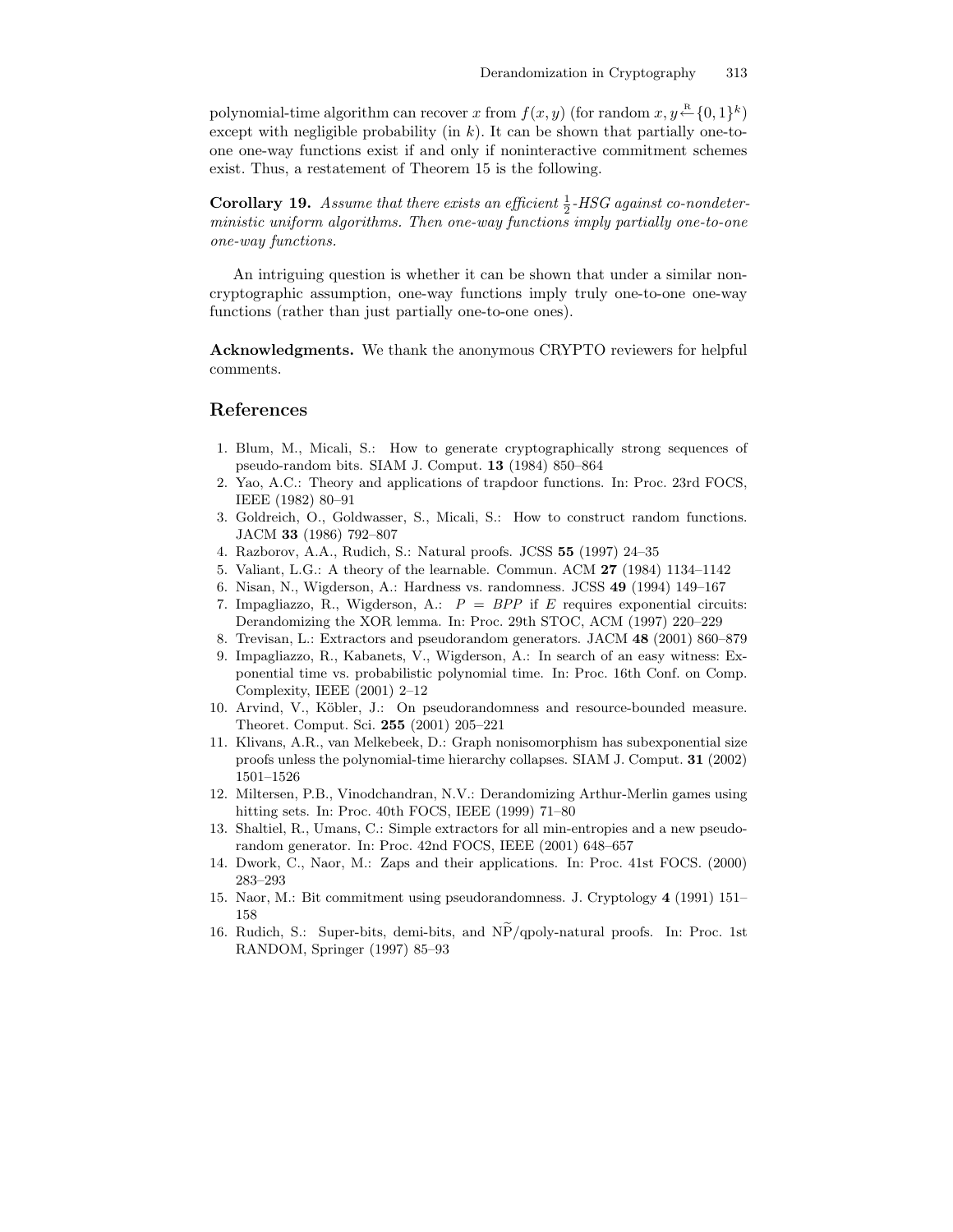polynomial-time algorithm can recover x from  $f(x, y)$  (for random  $x, y \stackrel{\text{R}}{\leftarrow} \{0, 1\}^k$ ) except with negligible probability (in  $k$ ). It can be shown that partially one-toone one-way functions exist if and only if noninteractive commitment schemes exist. Thus, a restatement of Theorem 15 is the following.

**Corollary 19.** Assume that there exists an efficient  $\frac{1}{2}$ -HSG against co-nondeterministic uniform algorithms. Then one-way functions imply partially one-to-one one-way functions.

An intriguing question is whether it can be shown that under a similar noncryptographic assumption, one-way functions imply truly one-to-one one-way functions (rather than just partially one-to-one ones).

Acknowledgments. We thank the anonymous CRYPTO reviewers for helpful comments.

## References

- 1. Blum, M., Micali, S.: How to generate cryptographically strong sequences of pseudo-random bits. SIAM J. Comput. 13 (1984) 850–864
- 2. Yao, A.C.: Theory and applications of trapdoor functions. In: Proc. 23rd FOCS, IEEE (1982) 80–91
- 3. Goldreich, O., Goldwasser, S., Micali, S.: How to construct random functions. JACM 33 (1986) 792–807
- 4. Razborov, A.A., Rudich, S.: Natural proofs. JCSS 55 (1997) 24–35
- 5. Valiant, L.G.: A theory of the learnable. Commun. ACM 27 (1984) 1134–1142
- 6. Nisan, N., Wigderson, A.: Hardness vs. randomness. JCSS 49 (1994) 149–167
- 7. Impagliazzo, R., Wigderson, A.:  $P = BPP$  if E requires exponential circuits: Derandomizing the XOR lemma. In: Proc. 29th STOC, ACM (1997) 220–229
- 8. Trevisan, L.: Extractors and pseudorandom generators. JACM 48 (2001) 860–879
- 9. Impagliazzo, R., Kabanets, V., Wigderson, A.: In search of an easy witness: Exponential time vs. probabilistic polynomial time. In: Proc. 16th Conf. on Comp. Complexity, IEEE (2001) 2–12
- 10. Arvind, V., Köbler, J.: On pseudorandomness and resource-bounded measure. Theoret. Comput. Sci. 255 (2001) 205–221
- 11. Klivans, A.R., van Melkebeek, D.: Graph nonisomorphism has subexponential size proofs unless the polynomial-time hierarchy collapses. SIAM J. Comput. 31 (2002) 1501–1526
- 12. Miltersen, P.B., Vinodchandran, N.V.: Derandomizing Arthur-Merlin games using hitting sets. In: Proc. 40th FOCS, IEEE (1999) 71–80
- 13. Shaltiel, R., Umans, C.: Simple extractors for all min-entropies and a new pseudorandom generator. In: Proc. 42nd FOCS, IEEE (2001) 648–657
- 14. Dwork, C., Naor, M.: Zaps and their applications. In: Proc. 41st FOCS. (2000) 283–293
- 15. Naor, M.: Bit commitment using pseudorandomness. J. Cryptology 4 (1991) 151– 158
- 16. Rudich, S.: Super-bits, demi-bits, and  $N\tilde{P}/q$  poly-natural proofs. In: Proc. 1st RANDOM, Springer (1997) 85–93